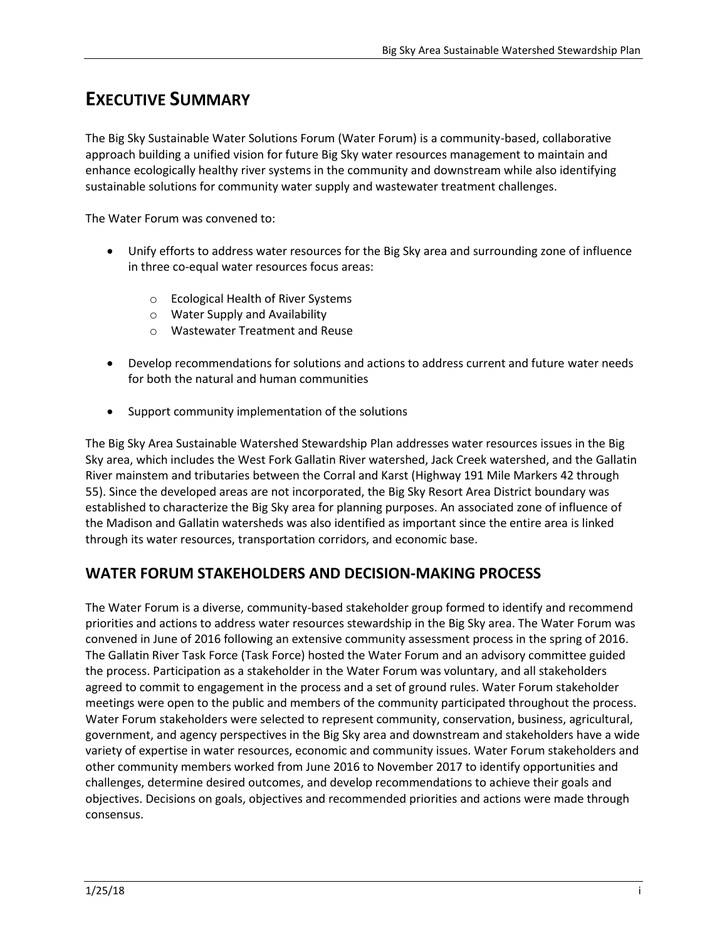# **EXECUTIVE SUMMARY**

The Big Sky Sustainable Water Solutions Forum (Water Forum) is a community-based, collaborative approach building a unified vision for future Big Sky water resources management to maintain and enhance ecologically healthy river systems in the community and downstream while also identifying sustainable solutions for community water supply and wastewater treatment challenges.

The Water Forum was convened to:

- Unify efforts to address water resources for the Big Sky area and surrounding zone of influence in three co-equal water resources focus areas:
	- o Ecological Health of River Systems
	- o Water Supply and Availability
	- o Wastewater Treatment and Reuse
- Develop recommendations for solutions and actions to address current and future water needs for both the natural and human communities
- Support community implementation of the solutions

The Big Sky Area Sustainable Watershed Stewardship Plan addresses water resources issues in the Big Sky area, which includes the West Fork Gallatin River watershed, Jack Creek watershed, and the Gallatin River mainstem and tributaries between the Corral and Karst (Highway 191 Mile Markers 42 through 55). Since the developed areas are not incorporated, the Big Sky Resort Area District boundary was established to characterize the Big Sky area for planning purposes. An associated zone of influence of the Madison and Gallatin watersheds was also identified as important since the entire area is linked through its water resources, transportation corridors, and economic base.

## **WATER FORUM STAKEHOLDERS AND DECISION-MAKING PROCESS**

The Water Forum is a diverse, community-based stakeholder group formed to identify and recommend priorities and actions to address water resources stewardship in the Big Sky area. The Water Forum was convened in June of 2016 following an extensive community assessment process in the spring of 2016. The Gallatin River Task Force (Task Force) hosted the Water Forum and an advisory committee guided the process. Participation as a stakeholder in the Water Forum was voluntary, and all stakeholders agreed to commit to engagement in the process and a set of ground rules. Water Forum stakeholder meetings were open to the public and members of the community participated throughout the process. Water Forum stakeholders were selected to represent community, conservation, business, agricultural, government, and agency perspectives in the Big Sky area and downstream and stakeholders have a wide variety of expertise in water resources, economic and community issues. Water Forum stakeholders and other community members worked from June 2016 to November 2017 to identify opportunities and challenges, determine desired outcomes, and develop recommendations to achieve their goals and objectives. Decisions on goals, objectives and recommended priorities and actions were made through consensus.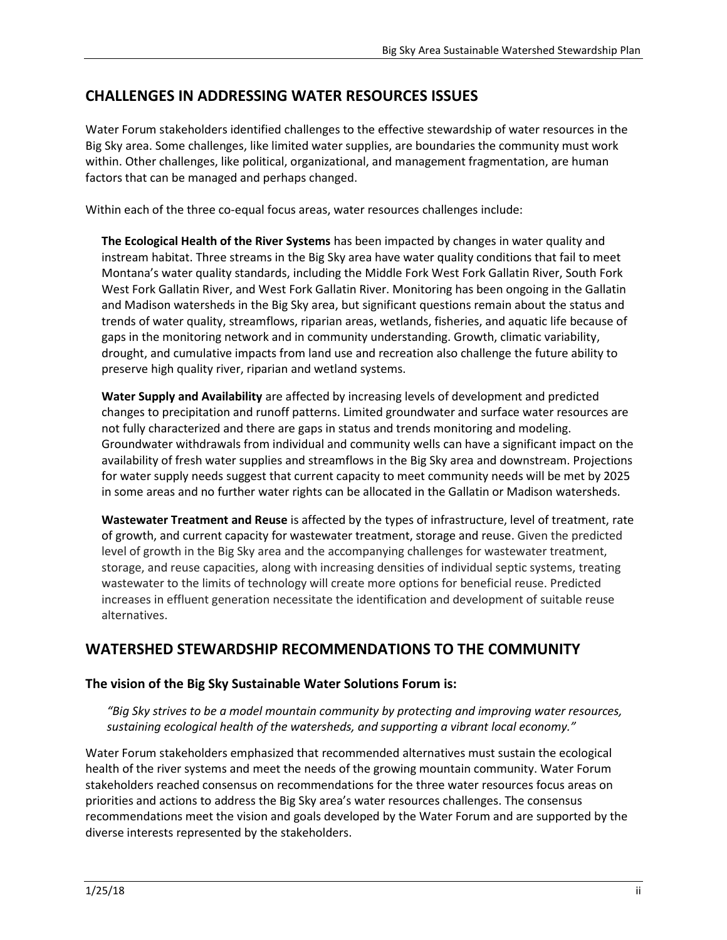# **CHALLENGES IN ADDRESSING WATER RESOURCES ISSUES**

Water Forum stakeholders identified challenges to the effective stewardship of water resources in the Big Sky area. Some challenges, like limited water supplies, are boundaries the community must work within. Other challenges, like political, organizational, and management fragmentation, are human factors that can be managed and perhaps changed.

Within each of the three co-equal focus areas, water resources challenges include:

**The Ecological Health of the River Systems** has been impacted by changes in water quality and instream habitat. Three streams in the Big Sky area have water quality conditions that fail to meet Montana's water quality standards, including the Middle Fork West Fork Gallatin River, South Fork West Fork Gallatin River, and West Fork Gallatin River. Monitoring has been ongoing in the Gallatin and Madison watersheds in the Big Sky area, but significant questions remain about the status and trends of water quality, streamflows, riparian areas, wetlands, fisheries, and aquatic life because of gaps in the monitoring network and in community understanding. Growth, climatic variability, drought, and cumulative impacts from land use and recreation also challenge the future ability to preserve high quality river, riparian and wetland systems.

**Water Supply and Availability** are affected by increasing levels of development and predicted changes to precipitation and runoff patterns. Limited groundwater and surface water resources are not fully characterized and there are gaps in status and trends monitoring and modeling. Groundwater withdrawals from individual and community wells can have a significant impact on the availability of fresh water supplies and streamflows in the Big Sky area and downstream. Projections for water supply needs suggest that current capacity to meet community needs will be met by 2025 in some areas and no further water rights can be allocated in the Gallatin or Madison watersheds.

**Wastewater Treatment and Reuse** is affected by the types of infrastructure, level of treatment, rate of growth, and current capacity for wastewater treatment, storage and reuse. Given the predicted level of growth in the Big Sky area and the accompanying challenges for wastewater treatment, storage, and reuse capacities, along with increasing densities of individual septic systems, treating wastewater to the limits of technology will create more options for beneficial reuse. Predicted increases in effluent generation necessitate the identification and development of suitable reuse alternatives.

## **WATERSHED STEWARDSHIP RECOMMENDATIONS TO THE COMMUNITY**

#### **The vision of the Big Sky Sustainable Water Solutions Forum is:**

*"Big Sky strives to be a model mountain community by protecting and improving water resources,*  sustaining ecological health of the watersheds, and supporting a vibrant local economy."

Water Forum stakeholders emphasized that recommended alternatives must sustain the ecological health of the river systems and meet the needs of the growing mountain community. Water Forum stakeholders reached consensus on recommendations for the three water resources focus areas on priorities and actions to address the Big Sky area's water resources challenges. The consensus recommendations meet the vision and goals developed by the Water Forum and are supported by the diverse interests represented by the stakeholders.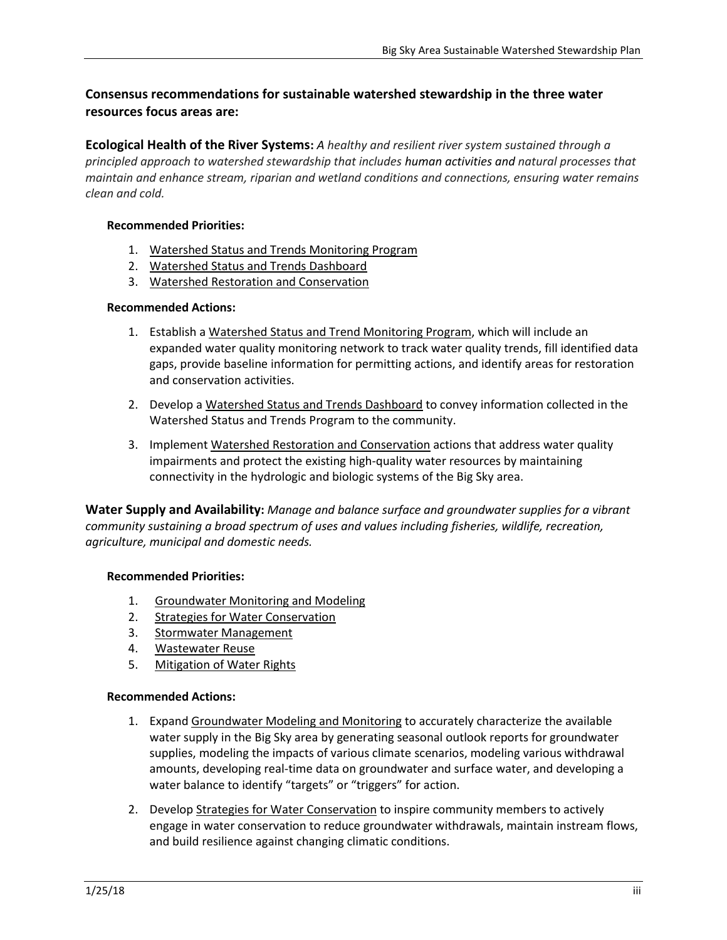### **Consensus recommendations for sustainable watershed stewardship in the three water resources focus areas are:**

**Ecological Health of the River Systems:** *A healthy and resilient river system sustained through a principled approach to watershed stewardship that includes human activities and natural processes that maintain and enhance stream, riparian and wetland conditions and connections, ensuring water remains clean and cold.*

#### **Recommended Priorities:**

- 1. Watershed Status and Trends Monitoring Program
- 2. Watershed Status and Trends Dashboard
- 3. Watershed Restoration and Conservation

#### **Recommended Actions:**

- 1. Establish a Watershed Status and Trend Monitoring Program, which will include an expanded water quality monitoring network to track water quality trends, fill identified data gaps, provide baseline information for permitting actions, and identify areas for restoration and conservation activities.
- 2. Develop a Watershed Status and Trends Dashboard to convey information collected in the Watershed Status and Trends Program to the community.
- 3. Implement Watershed Restoration and Conservation actions that address water quality impairments and protect the existing high-quality water resources by maintaining connectivity in the hydrologic and biologic systems of the Big Sky area.

**Water Supply and Availability:** *Manage and balance surface and groundwater supplies for a vibrant community sustaining a broad spectrum of uses and values including fisheries, wildlife, recreation, agriculture, municipal and domestic needs.*

#### **Recommended Priorities:**

- 1. Groundwater Monitoring and Modeling
- 2. Strategies for Water Conservation
- 3. Stormwater Management
- 4. Wastewater Reuse
- 5. Mitigation of Water Rights

#### **Recommended Actions:**

- 1. Expand Groundwater Modeling and Monitoring to accurately characterize the available water supply in the Big Sky area by generating seasonal outlook reports for groundwater supplies, modeling the impacts of various climate scenarios, modeling various withdrawal amounts, developing real-time data on groundwater and surface water, and developing a water balance to identify "targets" or "triggers" for action.
- 2. Develop Strategies for Water Conservation to inspire community members to actively engage in water conservation to reduce groundwater withdrawals, maintain instream flows, and build resilience against changing climatic conditions.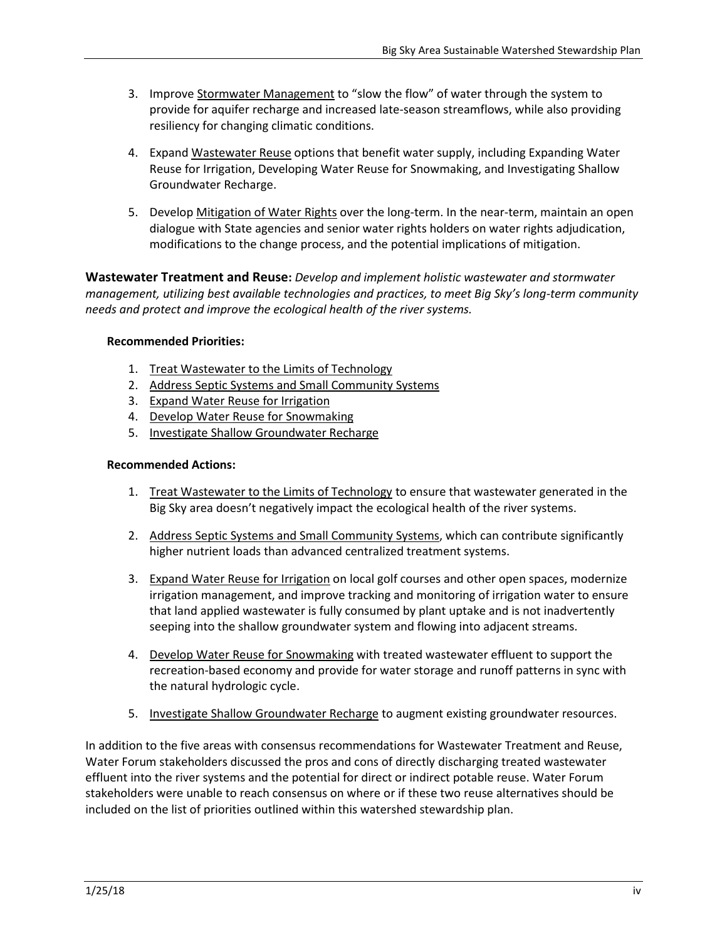- 3. Improve Stormwater Management to "slow the flow" of water through the system to provide for aquifer recharge and increased late-season streamflows, while also providing resiliency for changing climatic conditions.
- 4. Expand Wastewater Reuse options that benefit water supply, including Expanding Water Reuse for Irrigation, Developing Water Reuse for Snowmaking, and Investigating Shallow Groundwater Recharge.
- 5. Develop Mitigation of Water Rights over the long-term. In the near-term, maintain an open dialogue with State agencies and senior water rights holders on water rights adjudication, modifications to the change process, and the potential implications of mitigation.

**Wastewater Treatment and Reuse:** *Develop and implement holistic wastewater and stormwater management, utilizing best available technologies and practices, to meet Big Sky's long-term community needs and protect and improve the ecological health of the river systems.*

#### **Recommended Priorities:**

- 1. Treat Wastewater to the Limits of Technology
- 2. Address Septic Systems and Small Community Systems
- 3. Expand Water Reuse for Irrigation
- 4. Develop Water Reuse for Snowmaking
- 5. Investigate Shallow Groundwater Recharge

#### **Recommended Actions:**

- 1. Treat Wastewater to the Limits of Technology to ensure that wastewater generated in the Big Sky area doesn't negatively impact the ecological health of the river systems.
- 2. Address Septic Systems and Small Community Systems, which can contribute significantly higher nutrient loads than advanced centralized treatment systems.
- 3. Expand Water Reuse for Irrigation on local golf courses and other open spaces, modernize irrigation management, and improve tracking and monitoring of irrigation water to ensure that land applied wastewater is fully consumed by plant uptake and is not inadvertently seeping into the shallow groundwater system and flowing into adjacent streams.
- 4. Develop Water Reuse for Snowmaking with treated wastewater effluent to support the recreation-based economy and provide for water storage and runoff patterns in sync with the natural hydrologic cycle.
- 5. Investigate Shallow Groundwater Recharge to augment existing groundwater resources.

In addition to the five areas with consensus recommendations for Wastewater Treatment and Reuse, Water Forum stakeholders discussed the pros and cons of directly discharging treated wastewater effluent into the river systems and the potential for direct or indirect potable reuse. Water Forum stakeholders were unable to reach consensus on where or if these two reuse alternatives should be included on the list of priorities outlined within this watershed stewardship plan.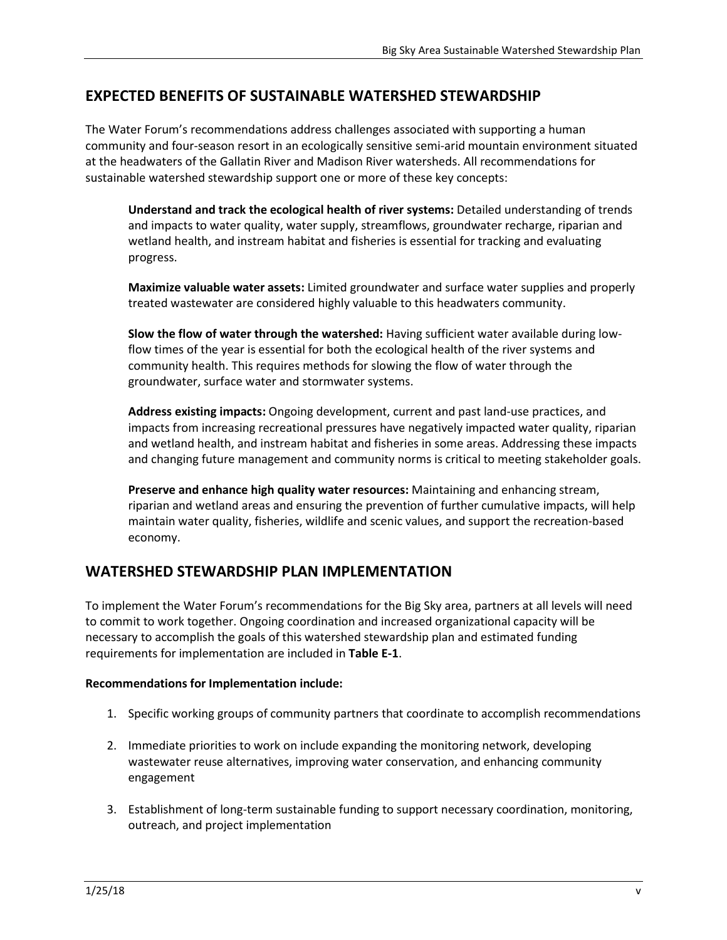### **EXPECTED BENEFITS OF SUSTAINABLE WATERSHED STEWARDSHIP**

The Water Forum's recommendations address challenges associated with supporting a human community and four-season resort in an ecologically sensitive semi-arid mountain environment situated at the headwaters of the Gallatin River and Madison River watersheds. All recommendations for sustainable watershed stewardship support one or more of these key concepts:

**Understand and track the ecological health of river systems:** Detailed understanding of trends and impacts to water quality, water supply, streamflows, groundwater recharge, riparian and wetland health, and instream habitat and fisheries is essential for tracking and evaluating progress.

**Maximize valuable water assets:** Limited groundwater and surface water supplies and properly treated wastewater are considered highly valuable to this headwaters community.

**Slow the flow of water through the watershed:** Having sufficient water available during lowflow times of the year is essential for both the ecological health of the river systems and community health. This requires methods for slowing the flow of water through the groundwater, surface water and stormwater systems.

**Address existing impacts:** Ongoing development, current and past land-use practices, and impacts from increasing recreational pressures have negatively impacted water quality, riparian and wetland health, and instream habitat and fisheries in some areas. Addressing these impacts and changing future management and community norms is critical to meeting stakeholder goals.

**Preserve and enhance high quality water resources:** Maintaining and enhancing stream, riparian and wetland areas and ensuring the prevention of further cumulative impacts, will help maintain water quality, fisheries, wildlife and scenic values, and support the recreation-based economy.

#### **WATERSHED STEWARDSHIP PLAN IMPLEMENTATION**

To implement the Water Forum's recommendations for the Big Sky area, partners at all levels will need to commit to work together. Ongoing coordination and increased organizational capacity will be necessary to accomplish the goals of this watershed stewardship plan and estimated funding requirements for implementation are included in **Table E-1**.

#### **Recommendations for Implementation include:**

- 1. Specific working groups of community partners that coordinate to accomplish recommendations
- 2. Immediate priorities to work on include expanding the monitoring network, developing wastewater reuse alternatives, improving water conservation, and enhancing community engagement
- 3. Establishment of long-term sustainable funding to support necessary coordination, monitoring, outreach, and project implementation